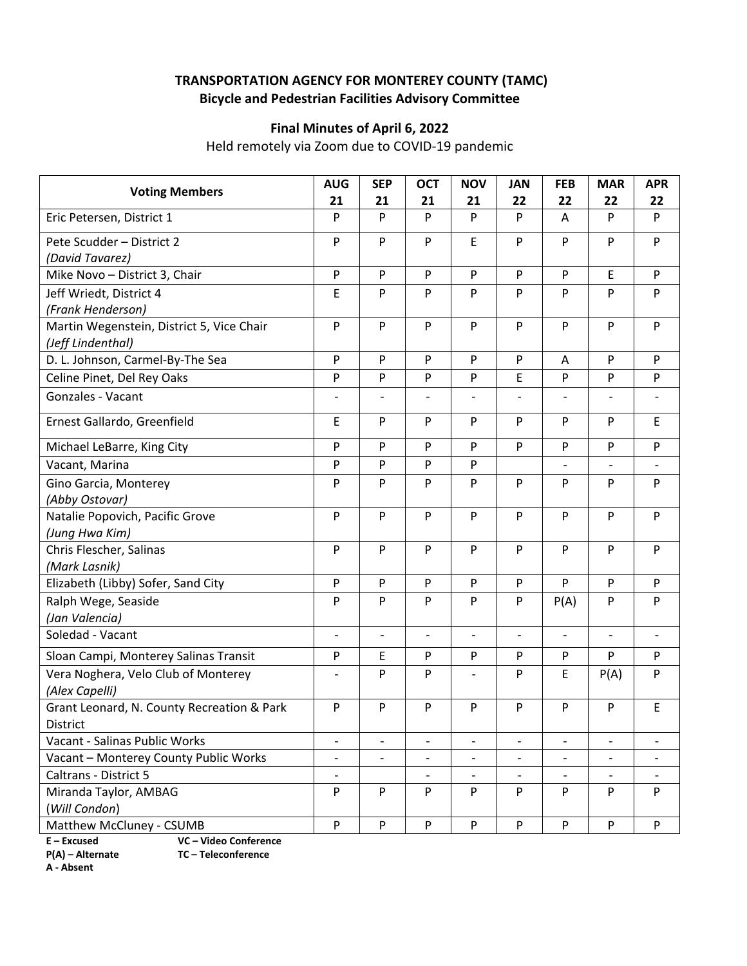# **TRANSPORTATION AGENCY FOR MONTEREY COUNTY (TAMC) Bicycle and Pedestrian Facilities Advisory Committee**

## **Final Minutes of April 6, 2022**

Held remotely via Zoom due to COVID‐19 pandemic

| <b>Voting Members</b>                      | <b>AUG</b>                | <b>SEP</b>               | <b>OCT</b>               | <b>NOV</b>               | <b>JAN</b>               | <b>FEB</b>               | <b>MAR</b>                   | <b>APR</b>               |
|--------------------------------------------|---------------------------|--------------------------|--------------------------|--------------------------|--------------------------|--------------------------|------------------------------|--------------------------|
|                                            | 21                        | 21                       | 21                       | 21                       | 22                       | 22                       | 22                           | 22                       |
| Eric Petersen, District 1                  | P                         | P                        | P                        | P                        | P                        | A                        | P                            | P                        |
| Pete Scudder - District 2                  | P                         | P                        | P                        | $\mathsf E$              | P                        | P                        | P                            | P                        |
| (David Tavarez)                            |                           |                          |                          |                          |                          |                          |                              |                          |
| Mike Novo - District 3, Chair              | $\mathsf{P}$              | P                        | P                        | $\mathsf{P}$             | P                        | P                        | $\mathsf E$                  | P                        |
| Jeff Wriedt, District 4                    | E                         | P                        | P                        | P                        | P                        | P                        | P                            | P                        |
| (Frank Henderson)                          |                           |                          |                          |                          |                          |                          |                              |                          |
| Martin Wegenstein, District 5, Vice Chair  | ${\sf P}$                 | P                        | P                        | $\mathsf{P}$             | P                        | P                        | P                            | P                        |
| (Jeff Lindenthal)                          |                           |                          |                          |                          |                          |                          |                              |                          |
| D. L. Johnson, Carmel-By-The Sea           | P                         | P                        | P                        | P                        | P                        | A                        | P                            | P                        |
| Celine Pinet, Del Rey Oaks                 | $\mathsf{P}$              | P                        | P                        | $\mathsf{P}$             | E                        | P                        | $\mathsf{P}$                 | P                        |
| Gonzales - Vacant                          |                           |                          |                          |                          |                          | $\overline{a}$           |                              |                          |
| Ernest Gallardo, Greenfield                | Ε                         | P                        | P                        | P                        | P                        | P                        | P                            | E                        |
| Michael LeBarre, King City                 | P                         | P                        | P                        | P                        | P                        | P                        | P                            | P                        |
| Vacant, Marina                             | P                         | P                        | P                        | P                        |                          | $\frac{1}{2}$            | $\qquad \qquad \blacksquare$ |                          |
| Gino Garcia, Monterey                      | P                         | P                        | P                        | P                        | P                        | P                        | P                            | P                        |
| (Abby Ostovar)                             |                           |                          |                          |                          |                          |                          |                              |                          |
| Natalie Popovich, Pacific Grove            | $\mathsf{P}$              | P                        | P                        | P                        | P                        | P                        | $\mathsf{P}$                 | P                        |
| (Jung Hwa Kim)                             |                           |                          |                          |                          |                          |                          |                              |                          |
| Chris Flescher, Salinas                    | $\mathsf{P}$              | P                        | P                        | P                        | P                        | P                        | $\mathsf{P}$                 | P                        |
| (Mark Lasnik)                              |                           |                          |                          |                          |                          |                          |                              |                          |
| Elizabeth (Libby) Sofer, Sand City         | $\mathsf{P}$              | P                        | P                        | ${\sf P}$                | P                        | P                        | $\mathsf{P}$                 | P                        |
| Ralph Wege, Seaside                        | P                         | P                        | P                        | P                        | P                        | P(A)                     | P                            | P                        |
| (Jan Valencia)                             |                           |                          |                          |                          |                          |                          |                              |                          |
| Soledad - Vacant                           | $\overline{\phantom{a}}$  | $\overline{\phantom{a}}$ | $\overline{\phantom{a}}$ | $\qquad \qquad -$        | $\blacksquare$           | $\overline{\phantom{a}}$ | $\qquad \qquad -$            | $\overline{\phantom{a}}$ |
| Sloan Campi, Monterey Salinas Transit      | P                         | E                        | P                        | ${\sf P}$                | P                        | P                        | P                            | P                        |
| Vera Noghera, Velo Club of Monterey        | $\overline{\phantom{a}}$  | P                        | P                        |                          | P                        | E                        | P(A)                         | P                        |
| (Alex Capelli)                             |                           |                          |                          |                          |                          |                          |                              |                          |
| Grant Leonard, N. County Recreation & Park | P                         | P                        | P                        | P                        | P                        | P                        | P                            | E                        |
| <b>District</b>                            |                           |                          |                          |                          |                          |                          |                              |                          |
| Vacant - Salinas Public Works              |                           |                          |                          |                          |                          |                          |                              |                          |
| Vacant - Monterey County Public Works      | $\overline{\phantom{0}}$  | $\overline{\phantom{a}}$ | $\qquad \qquad -$        | $\overline{\phantom{a}}$ | $\overline{\phantom{a}}$ | $\qquad \qquad -$        | $\qquad \qquad -$            |                          |
| Caltrans - District 5                      | $\qquad \qquad -$         |                          | $\overline{\phantom{0}}$ | $\overline{\phantom{a}}$ | $\overline{\phantom{a}}$ | $\frac{1}{2}$            | $\overline{\phantom{a}}$     |                          |
| Miranda Taylor, AMBAG                      | P                         | P                        | P                        | P                        | P                        | P                        | P                            | P                        |
| (Will Condon)                              |                           |                          |                          |                          |                          |                          |                              |                          |
| Matthew McCluney - CSUMB                   | $\boldsymbol{\mathsf{P}}$ | P                        | ${\sf P}$                | $\mathsf{P}$             | P                        | P                        | $\mathsf{P}$                 | P                        |

**E – Excused VC – Video Conference** 

**A ‐ Absent**

**P(A) – Alternate TC – Teleconference**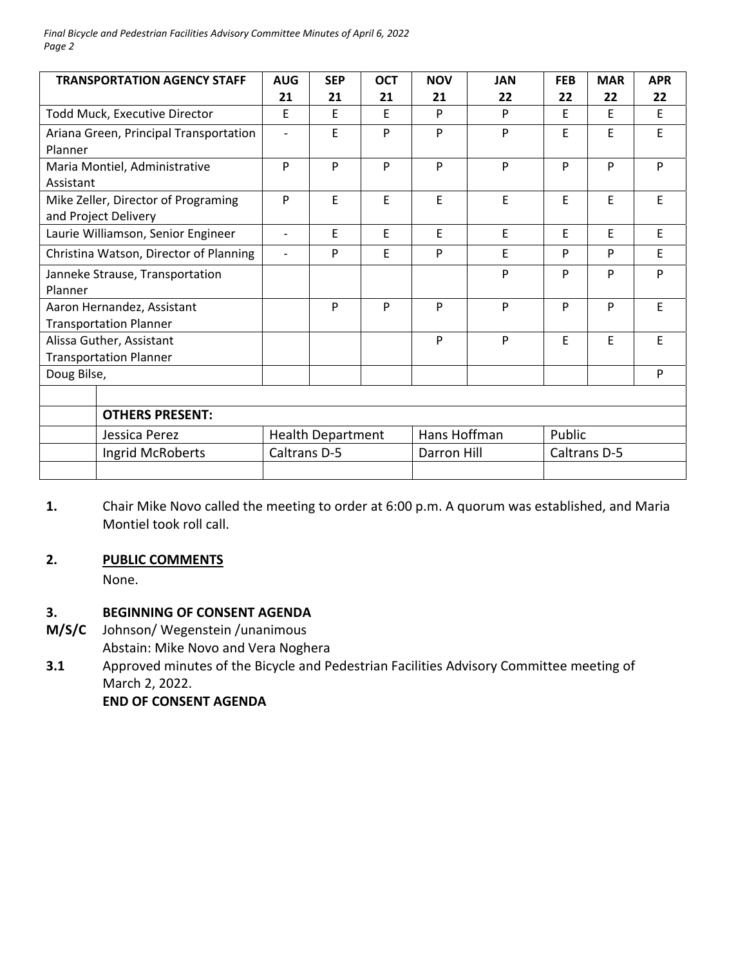*Final Bicycle and Pedestrian Facilities Advisory Committee Minutes of April 6, 2022 Page 2*

| <b>TRANSPORTATION AGENCY STAFF</b>                          | <b>AUG</b>               | <b>SEP</b>               | <b>OCT</b> | <b>NOV</b>  | <b>JAN</b>   | <b>FEB</b>   | <b>MAR</b> | <b>APR</b> |  |
|-------------------------------------------------------------|--------------------------|--------------------------|------------|-------------|--------------|--------------|------------|------------|--|
|                                                             | 21                       | 21                       | 21         | 21          | 22           | 22           | 22         | 22         |  |
| Todd Muck, Executive Director                               | E                        | F                        | F          | P           | P            | F            | E          | E          |  |
| Ariana Green, Principal Transportation<br>Planner           | $\overline{\phantom{0}}$ | E                        | P          | P           | P            | F            | E          | F          |  |
| Maria Montiel, Administrative<br>Assistant                  | P                        | P                        | P          | P           | P            | P            | P          | P          |  |
| Mike Zeller, Director of Programing<br>and Project Delivery | P                        | E                        | E          | E           | E            | E            | E          | E          |  |
| Laurie Williamson, Senior Engineer                          | $\overline{a}$           | E                        | F          | F           | E            | E            | E          | E          |  |
| Christina Watson, Director of Planning                      | $\overline{\phantom{a}}$ | P                        | E          | P           | E            | P            | P          | E          |  |
| Janneke Strause, Transportation<br>Planner                  |                          |                          |            |             | P            | P            | P          | P          |  |
| Aaron Hernandez, Assistant<br><b>Transportation Planner</b> |                          | P                        | P          | P           | P            | P            | P          | E          |  |
| Alissa Guther, Assistant<br><b>Transportation Planner</b>   |                          |                          |            | P           | P            | F            | E          | E          |  |
| Doug Bilse,                                                 |                          |                          |            |             |              |              |            | P          |  |
|                                                             |                          |                          |            |             |              |              |            |            |  |
| <b>OTHERS PRESENT:</b>                                      |                          |                          |            |             |              |              |            |            |  |
| Jessica Perez                                               |                          | <b>Health Department</b> |            |             | Hans Hoffman |              | Public     |            |  |
| Ingrid McRoberts                                            |                          | Caltrans D-5             |            | Darron Hill |              | Caltrans D-5 |            |            |  |
|                                                             |                          |                          |            |             |              |              |            |            |  |

**1.**  Chair Mike Novo called the meeting to order at 6:00 p.m. A quorum was established, and Maria Montiel took roll call.

#### **2. PUBLIC COMMENTS**

None.

#### **3. BEGINNING OF CONSENT AGENDA**

- **M/S/C**  Johnson/ Wegenstein /unanimous
	- Abstain: Mike Novo and Vera Noghera
- **3.1**  Approved minutes of the Bicycle and Pedestrian Facilities Advisory Committee meeting of March 2, 2022.

 **END OF CONSENT AGENDA**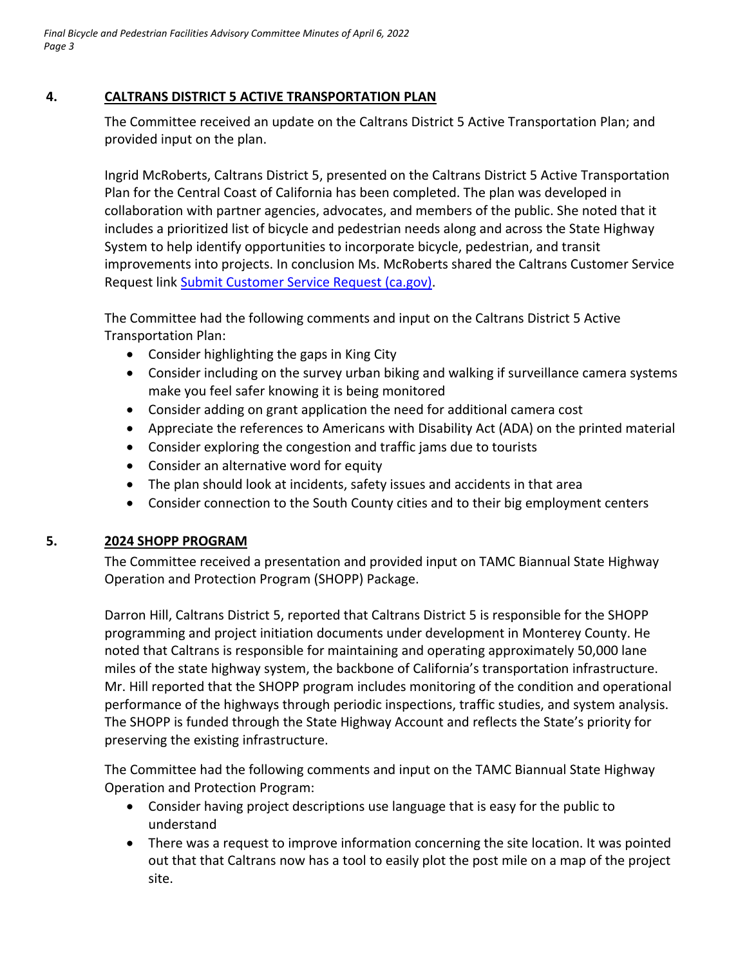## **4. CALTRANS DISTRICT 5 ACTIVE TRANSPORTATION PLAN**

The Committee received an update on the Caltrans District 5 Active Transportation Plan; and provided input on the plan.

Ingrid McRoberts, Caltrans District 5, presented on the Caltrans District 5 Active Transportation Plan for the Central Coast of California has been completed. The plan was developed in collaboration with partner agencies, advocates, and members of the public. She noted that it includes a prioritized list of bicycle and pedestrian needs along and across the State Highway System to help identify opportunities to incorporate bicycle, pedestrian, and transit improvements into projects. In conclusion Ms. McRoberts shared the Caltrans Customer Service Request link Submit Customer Service Request (ca.gov).

The Committee had the following comments and input on the Caltrans District 5 Active Transportation Plan:

- Consider highlighting the gaps in King City
- Consider including on the survey urban biking and walking if surveillance camera systems make you feel safer knowing it is being monitored
- Consider adding on grant application the need for additional camera cost
- Appreciate the references to Americans with Disability Act (ADA) on the printed material
- Consider exploring the congestion and traffic jams due to tourists
- Consider an alternative word for equity
- The plan should look at incidents, safety issues and accidents in that area
- Consider connection to the South County cities and to their big employment centers

## **5. 2024 SHOPP PROGRAM**

The Committee received a presentation and provided input on TAMC Biannual State Highway Operation and Protection Program (SHOPP) Package.

Darron Hill, Caltrans District 5, reported that Caltrans District 5 is responsible for the SHOPP programming and project initiation documents under development in Monterey County. He noted that Caltrans is responsible for maintaining and operating approximately 50,000 lane miles of the state highway system, the backbone of California's transportation infrastructure. Mr. Hill reported that the SHOPP program includes monitoring of the condition and operational performance of the highways through periodic inspections, traffic studies, and system analysis. The SHOPP is funded through the State Highway Account and reflects the State's priority for preserving the existing infrastructure.

The Committee had the following comments and input on the TAMC Biannual State Highway Operation and Protection Program:

- Consider having project descriptions use language that is easy for the public to understand
- There was a request to improve information concerning the site location. It was pointed out that that Caltrans now has a tool to easily plot the post mile on a map of the project site.